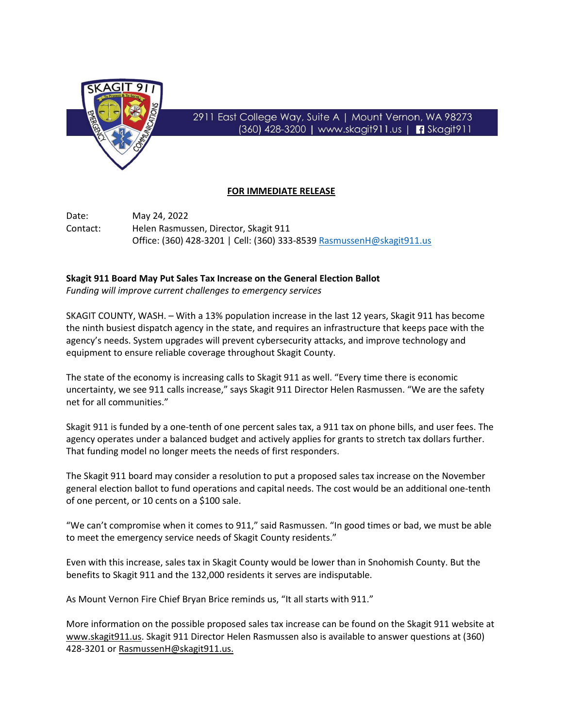

## 2911 East College Way, Suite A | Mount Vernon, WA 98273 (360) 428-3200 | www.skagit911.us | 3kagit911

## **FOR IMMEDIATE RELEASE**

Date: May 24, 2022 Contact: Helen Rasmussen, Director, Skagit 911 Office: (360) 428-3201 | Cell: (360) 333-8539 [RasmussenH@skagit911.us](mailto:RasmussenH@skagit911.us)

## **Skagit 911 Board May Put Sales Tax Increase on the General Election Ballot**

*Funding will improve current challenges to emergency services*

SKAGIT COUNTY, WASH. – With a 13% population increase in the last 12 years, Skagit 911 has become the ninth busiest dispatch agency in the state, and requires an infrastructure that keeps pace with the agency's needs. System upgrades will prevent cybersecurity attacks, and improve technology and equipment to ensure reliable coverage throughout Skagit County.

The state of the economy is increasing calls to Skagit 911 as well. "Every time there is economic uncertainty, we see 911 calls increase," says Skagit 911 Director Helen Rasmussen. "We are the safety net for all communities."

Skagit 911 is funded by a one-tenth of one percent sales tax, a 911 tax on phone bills, and user fees. The agency operates under a balanced budget and actively applies for grants to stretch tax dollars further. That funding model no longer meets the needs of first responders.

The Skagit 911 board may consider a resolution to put a proposed sales tax increase on the November general election ballot to fund operations and capital needs. The cost would be an additional one-tenth of one percent, or 10 cents on a \$100 sale.

"We can't compromise when it comes to 911," said Rasmussen. "In good times or bad, we must be able to meet the emergency service needs of Skagit County residents."

Even with this increase, sales tax in Skagit County would be lower than in Snohomish County. But the benefits to Skagit 911 and the 132,000 residents it serves are indisputable.

As Mount Vernon Fire Chief Bryan Brice reminds us, "It all starts with 911."

More information on the possible proposed sales tax increase can be found on the Skagit 911 website at [www.skagit911.us.](http://www.skagit911.us/) Skagit 911 Director Helen Rasmussen also is available to answer questions at (360) 428-3201 or [RasmussenH@skagit911.us.](mailto:RasmussenH@skagit911.us)